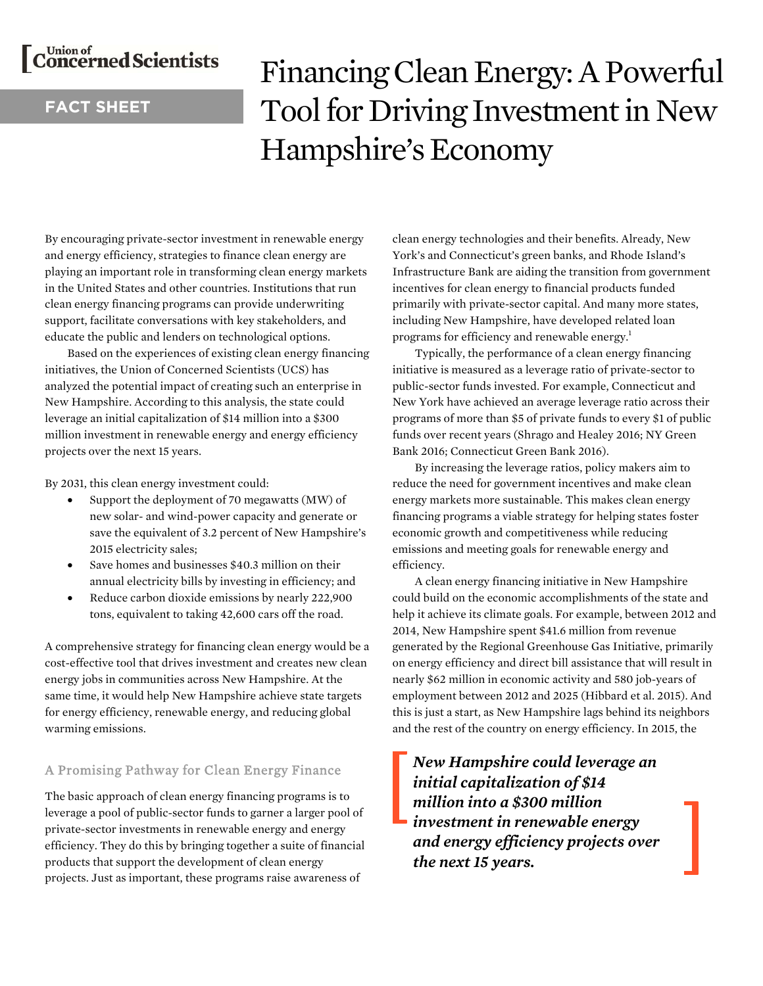# C<sup>Union of</sup> Scientists

## **FACT SHEET**

# Financing Clean Energy: A Powerful Tool for Driving Investment in New Hampshire's Economy

By encouraging private-sector investment in renewable energy and energy efficiency, strategies to finance clean energy are playing an important role in transforming clean energy markets in the United States and other countries. Institutions that run clean energy financing programs can provide underwriting support, facilitate conversations with key stakeholders, and educate the public and lenders on technological options.

Based on the experiences of existing clean energy financing initiatives, the Union of Concerned Scientists (UCS) has analyzed the potential impact of creating such an enterprise in New Hampshire. According to this analysis, the state could leverage an initial capitalization of \$14 million into a \$300 million investment in renewable energy and energy efficiency projects over the next 15 years.

By 2031, this clean energy investment could:

- Support the deployment of 70 megawatts (MW) of new solar- and wind-power capacity and generate or save the equivalent of 3.2 percent of New Hampshire's 2015 electricity sales;
- Save homes and businesses \$40.3 million on their annual electricity bills by investing in efficiency; and
- Reduce carbon dioxide emissions by nearly 222,900 tons, equivalent to taking 42,600 cars off the road.

A comprehensive strategy for financing clean energy would be a cost-effective tool that drives investment and creates new clean energy jobs in communities across New Hampshire. At the same time, it would help New Hampshire achieve state targets for energy efficiency, renewable energy, and reducing global warming emissions.

### A Promising Pathway for Clean Energy Finance

The basic approach of clean energy financing programs is to leverage a pool of public-sector funds to garner a larger pool of private-sector investments in renewable energy and energy efficiency. They do this by bringing together a suite of financial products that support the development of clean energy projects. Just as important, these programs raise awareness of

clean energy technologies and their benefits. Already, New York's and Connecticut's green banks, and Rhode Island's Infrastructure Bank are aiding the transition from government incentives for clean energy to financial products funded primarily with private-sector capital. And many more states, including New Hampshire, have developed related loan programs for efficiency and renewable energy.<sup>1</sup>

 Typically, the performance of a clean energy financing initiative is measured as a leverage ratio of private-sector to public-sector funds invested. For example, Connecticut and New York have achieved an average leverage ratio across their programs of more than \$5 of private funds to every \$1 of public funds over recent years (Shrago and Healey 2016; NY Green Bank 2016; Connecticut Green Bank 2016).

By increasing the leverage ratios, policy makers aim to reduce the need for government incentives and make clean energy markets more sustainable. This makes clean energy financing programs a viable strategy for helping states foster economic growth and competitiveness while reducing emissions and meeting goals for renewable energy and efficiency.

 A clean energy financing initiative in New Hampshire could build on the economic accomplishments of the state and help it achieve its climate goals. For example, between 2012 and 2014, New Hampshire spent \$41.6 million from revenue generated by the Regional Greenhouse Gas Initiative, primarily on energy efficiency and direct bill assistance that will result in nearly \$62 million in economic activity and 580 job-years of employment between 2012 and 2025 (Hibbard et al. 2015). And this is just a start, as New Hampshire lags behind its neighbors and the rest of the country on energy efficiency. In 2015, the

*New Hampshire could leverage an initial capitalization of \$14 million into a \$300 million investment in renewable energy and energy efficiency projects over the next 15 years.*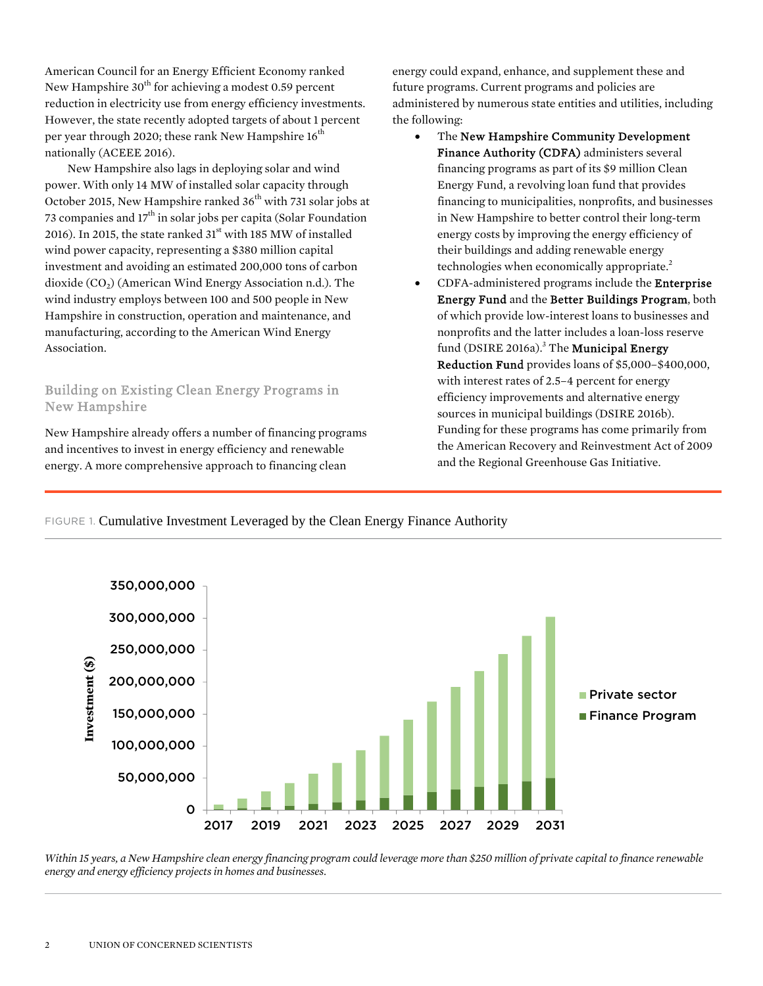American Council for an Energy Efficient Economy ranked New Hampshire  $30<sup>th</sup>$  for achieving a modest 0.59 percent reduction in electricity use from energy efficiency investments. However, the state recently adopted targets of about 1 percent per year through 2020; these rank New Hampshire  $16<sup>th</sup>$ nationally (ACEEE 2016).

New Hampshire also lags in deploying solar and wind power. With only 14 MW of installed solar capacity through October 2015, New Hampshire ranked  $36<sup>th</sup>$  with 731 solar jobs at 73 companies and  $17<sup>th</sup>$  in solar jobs per capita (Solar Foundation 2016). In 2015, the state ranked  $31<sup>st</sup>$  with 185 MW of installed wind power capacity, representing a \$380 million capital investment and avoiding an estimated 200,000 tons of carbon dioxide  $(CO<sub>2</sub>)$  (American Wind Energy Association n.d.). The wind industry employs between 100 and 500 people in New Hampshire in construction, operation and maintenance, and manufacturing, according to the American Wind Energy Association.

#### Building on Existing Clean Energy Programs in New Hampshire

New Hampshire already offers a number of financing programs and incentives to invest in energy efficiency and renewable energy. A more comprehensive approach to financing clean

energy could expand, enhance, and supplement these and future programs. Current programs and policies are administered by numerous state entities and utilities, including the following:

- The New Hampshire Community Development Finance Authority (CDFA) administers several financing programs as part of its \$9 million Clean Energy Fund, a revolving loan fund that provides financing to municipalities, nonprofits, and businesses in New Hampshire to better control their long-term energy costs by improving the energy efficiency of their buildings and adding renewable energy technologies when economically appropriate.<sup>2</sup>
- CDFA-administered programs include the Enterprise Energy Fund and the Better Buildings Program, both of which provide low-interest loans to businesses and nonprofits and the latter includes a loan-loss reserve fund (DSIRE 2016a).<sup>3</sup> The **Municipal Energy** Reduction Fund provides loans of \$5,000–\$400,000, with interest rates of 2.5–4 percent for energy efficiency improvements and alternative energy sources in municipal buildings (DSIRE 2016b). Funding for these programs has come primarily from the American Recovery and Reinvestment Act of 2009 and the Regional Greenhouse Gas Initiative.

#### FIGURE 1. Cumulative Investment Leveraged by the Clean Energy Finance Authority



*Within 15 years, a New Hampshire clean energy financing program could leverage more than \$250 million of private capital to finance renewable energy and energy efficiency projects in homes and businesses.*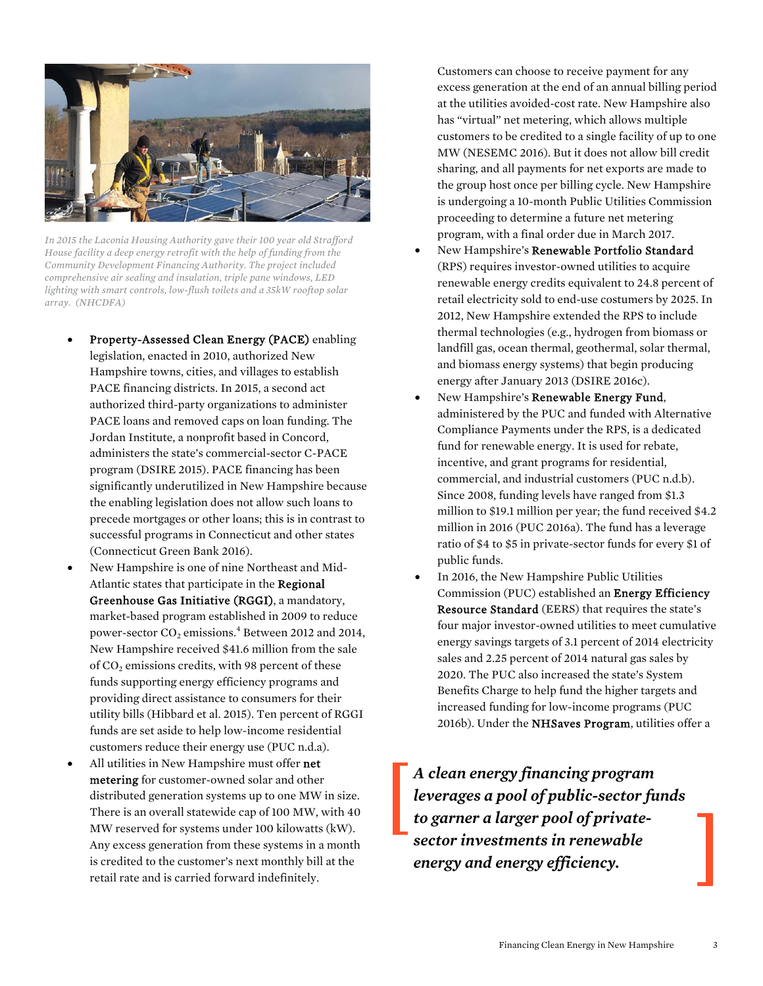

*In 2015 the Laconia Housing Authority gave their 100 year old Strafford House facility a deep energy retrofit with the help of funding from the Community Development Financing Authority. The project included comprehensive air sealing and insulation, triple pane windows, LED lighting with smart controls, low-flush toilets and a 35kW rooftop solar array. (NHCDFA)* 

- Property-Assessed Clean Energy (PACE) enabling legislation, enacted in 2010, authorized New Hampshire towns, cities, and villages to establish PACE financing districts. In 2015, a second act authorized third-party organizations to administer PACE loans and removed caps on loan funding. The Jordan Institute, a nonprofit based in Concord, administers the state's commercial-sector C-PACE program (DSIRE 2015). PACE financing has been significantly underutilized in New Hampshire because the enabling legislation does not allow such loans to precede mortgages or other loans; this is in contrast to successful programs in Connecticut and other states (Connecticut Green Bank 2016).
- New Hampshire is one of nine Northeast and Mid-Atlantic states that participate in the Regional Greenhouse Gas Initiative (RGGI), a mandatory, market-based program established in 2009 to reduce power-sector  $\rm CO_2$  emissions.<sup>4</sup> Between 2012 and 2014, New Hampshire received \$41.6 million from the sale of  $CO<sub>2</sub>$  emissions credits, with 98 percent of these funds supporting energy efficiency programs and providing direct assistance to consumers for their utility bills (Hibbard et al. 2015). Ten percent of RGGI funds are set aside to help low-income residential customers reduce their energy use (PUC n.d.a).
- All utilities in New Hampshire must offer net metering for customer-owned solar and other distributed generation systems up to one MW in size. There is an overall statewide cap of 100 MW, with 40 MW reserved for systems under 100 kilowatts (kW). Any excess generation from these systems in a month is credited to the customer's next monthly bill at the retail rate and is carried forward indefinitely.

Customers can choose to receive payment for any excess generation at the end of an annual billing period at the utilities avoided-cost rate. New Hampshire also has "virtual" net metering, which allows multiple customers to be credited to a single facility of up to one MW (NESEMC 2016). But it does not allow bill credit sharing, and all payments for net exports are made to the group host once per billing cycle. New Hampshire is undergoing a 10-month Public Utilities Commission proceeding to determine a future net metering program, with a final order due in March 2017.

- New Hampshire's Renewable Portfolio Standard (RPS) requires investor-owned utilities to acquire renewable energy credits equivalent to 24.8 percent of retail electricity sold to end-use costumers by 2025. In 2012, New Hampshire extended the RPS to include thermal technologies (e.g., hydrogen from biomass or landfill gas, ocean thermal, geothermal, solar thermal, and biomass energy systems) that begin producing energy after January 2013 (DSIRE 2016c).
- New Hampshire's Renewable Energy Fund, administered by the PUC and funded with Alternative Compliance Payments under the RPS, is a dedicated fund for renewable energy. It is used for rebate, incentive, and grant programs for residential, commercial, and industrial customers (PUC n.d.b). Since 2008, funding levels have ranged from \$1.3 million to \$19.1 million per year; the fund received \$4.2 million in 2016 (PUC 2016a). The fund has a leverage ratio of \$4 to \$5 in private-sector funds for every \$1 of public funds.
- In 2016, the New Hampshire Public Utilities Commission (PUC) established an Energy Efficiency Resource Standard (EERS) that requires the state's four major investor-owned utilities to meet cumulative energy savings targets of 3.1 percent of 2014 electricity sales and 2.25 percent of 2014 natural gas sales by 2020. The PUC also increased the state's System Benefits Charge to help fund the higher targets and increased funding for low-income programs (PUC 2016b). Under the NHSaves Program, utilities offer a

*A clean energy financing program leverages a pool of public-sector funds to garner a larger pool of privatesector investments in renewable energy and energy efficiency.*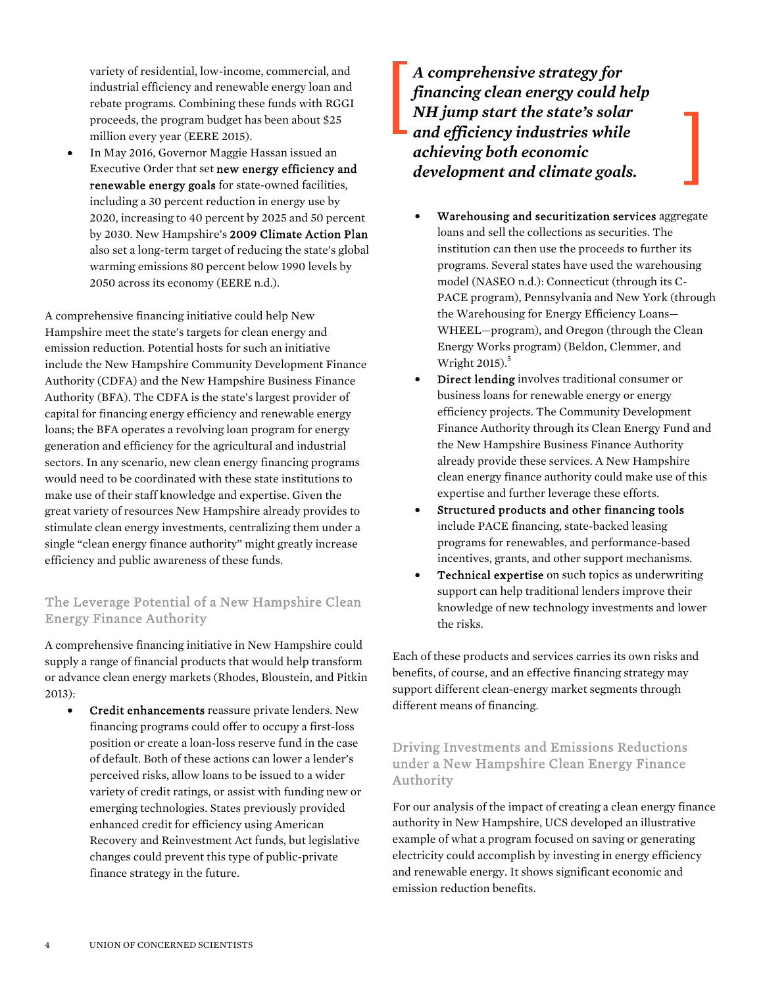variety of residential, low-income, commercial, and industrial efficiency and renewable energy loan and rebate programs. Combining these funds with RGGI proceeds, the program budget has been about \$25 million every year (EERE 2015).

 In May 2016, Governor Maggie Hassan issued an Executive Order that set new energy efficiency and renewable energy goals for state-owned facilities, including a 30 percent reduction in energy use by 2020, increasing to 40 percent by 2025 and 50 percent by 2030. New Hampshire's 2009 Climate Action Plan also set a long-term target of reducing the state's global warming emissions 80 percent below 1990 levels by 2050 across its economy (EERE n.d.).

A comprehensive financing initiative could help New Hampshire meet the state's targets for clean energy and emission reduction. Potential hosts for such an initiative include the New Hampshire Community Development Finance Authority (CDFA) and the New Hampshire Business Finance Authority (BFA). The CDFA is the state's largest provider of capital for financing energy efficiency and renewable energy loans; the BFA operates a revolving loan program for energy generation and efficiency for the agricultural and industrial sectors. In any scenario, new clean energy financing programs would need to be coordinated with these state institutions to make use of their staff knowledge and expertise. Given the great variety of resources New Hampshire already provides to stimulate clean energy investments, centralizing them under a single "clean energy finance authority" might greatly increase efficiency and public awareness of these funds.

#### The Leverage Potential of a New Hampshire Clean Energy Finance Authority

A comprehensive financing initiative in New Hampshire could supply a range of financial products that would help transform or advance clean energy markets (Rhodes, Bloustein, and Pitkin 2013):

 Credit enhancements reassure private lenders. New financing programs could offer to occupy a first-loss position or create a loan-loss reserve fund in the case of default. Both of these actions can lower a lender's perceived risks, allow loans to be issued to a wider variety of credit ratings, or assist with funding new or emerging technologies. States previously provided enhanced credit for efficiency using American Recovery and Reinvestment Act funds, but legislative changes could prevent this type of public-private finance strategy in the future.

*A comprehensive strategy for financing clean energy could help NH jump start the state's solar and efficiency industries while achieving both economic development and climate goals.* 

- Warehousing and securitization services aggregate loans and sell the collections as securities. The institution can then use the proceeds to further its programs. Several states have used the warehousing model (NASEO n.d.): Connecticut (through its C-PACE program), Pennsylvania and New York (through the Warehousing for Energy Efficiency Loans— WHEEL—program), and Oregon (through the Clean Energy Works program) (Beldon, Clemmer, and Wright 2015).<sup>5</sup>
- Direct lending involves traditional consumer or business loans for renewable energy or energy efficiency projects. The Community Development Finance Authority through its Clean Energy Fund and the New Hampshire Business Finance Authority already provide these services. A New Hampshire clean energy finance authority could make use of this expertise and further leverage these efforts.
- Structured products and other financing tools include PACE financing, state-backed leasing programs for renewables, and performance-based incentives, grants, and other support mechanisms.
- Technical expertise on such topics as underwriting support can help traditional lenders improve their knowledge of new technology investments and lower the risks.

Each of these products and services carries its own risks and benefits, of course, and an effective financing strategy may support different clean-energy market segments through different means of financing.

#### Driving Investments and Emissions Reductions under a New Hampshire Clean Energy Finance Authority

For our analysis of the impact of creating a clean energy finance authority in New Hampshire, UCS developed an illustrative example of what a program focused on saving or generating electricity could accomplish by investing in energy efficiency and renewable energy. It shows significant economic and emission reduction benefits.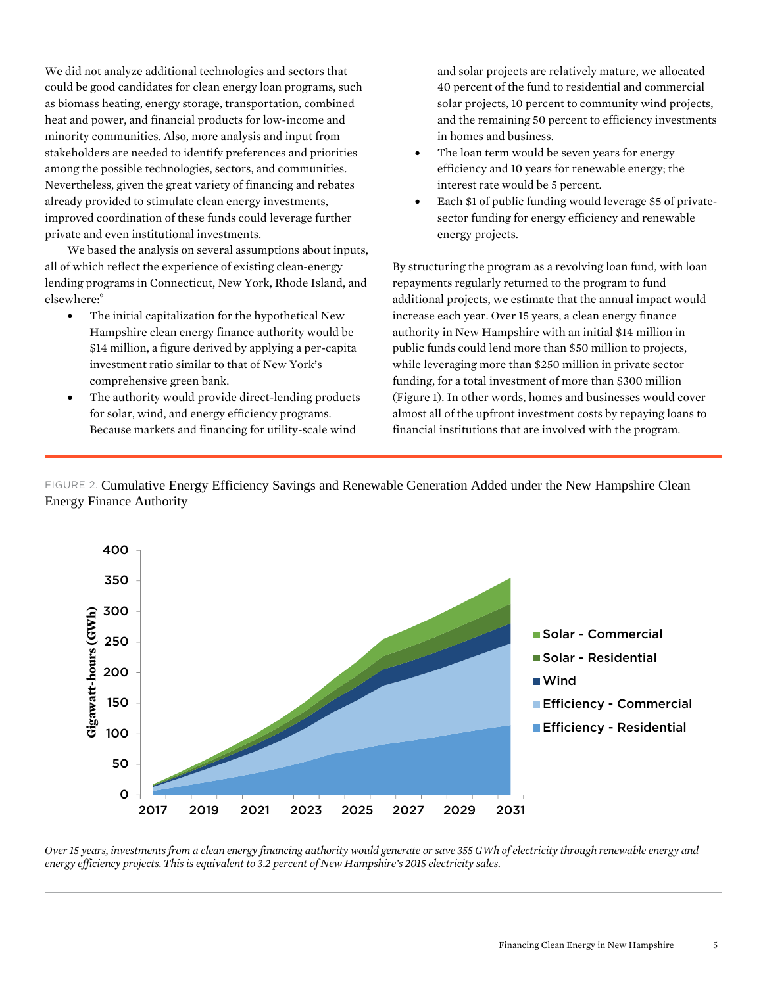We did not analyze additional technologies and sectors that could be good candidates for clean energy loan programs, such as biomass heating, energy storage, transportation, combined heat and power, and financial products for low-income and minority communities. Also, more analysis and input from stakeholders are needed to identify preferences and priorities among the possible technologies, sectors, and communities. Nevertheless, given the great variety of financing and rebates already provided to stimulate clean energy investments, improved coordination of these funds could leverage further private and even institutional investments.

We based the analysis on several assumptions about inputs, all of which reflect the experience of existing clean-energy lending programs in Connecticut, New York, Rhode Island, and elsewhere:<sup>6</sup>

- The initial capitalization for the hypothetical New Hampshire clean energy finance authority would be \$14 million, a figure derived by applying a per-capita investment ratio similar to that of New York's comprehensive green bank.
- The authority would provide direct-lending products for solar, wind, and energy efficiency programs. Because markets and financing for utility-scale wind

and solar projects are relatively mature, we allocated 40 percent of the fund to residential and commercial solar projects, 10 percent to community wind projects, and the remaining 50 percent to efficiency investments in homes and business.

- The loan term would be seven years for energy efficiency and 10 years for renewable energy; the interest rate would be 5 percent.
- Each \$1 of public funding would leverage \$5 of privatesector funding for energy efficiency and renewable energy projects.

By structuring the program as a revolving loan fund, with loan repayments regularly returned to the program to fund additional projects, we estimate that the annual impact would increase each year. Over 15 years, a clean energy finance authority in New Hampshire with an initial \$14 million in public funds could lend more than \$50 million to projects, while leveraging more than \$250 million in private sector funding, for a total investment of more than \$300 million (Figure 1). In other words, homes and businesses would cover almost all of the upfront investment costs by repaying loans to financial institutions that are involved with the program.

FIGURE 2. Cumulative Energy Efficiency Savings and Renewable Generation Added under the New Hampshire Clean Energy Finance Authority



*Over 15 years, investments from a clean energy financing authority would generate or save 355 GWh of electricity through renewable energy and energy efficiency projects. This is equivalent to 3.2 percent of New Hampshire's 2015 electricity sales.*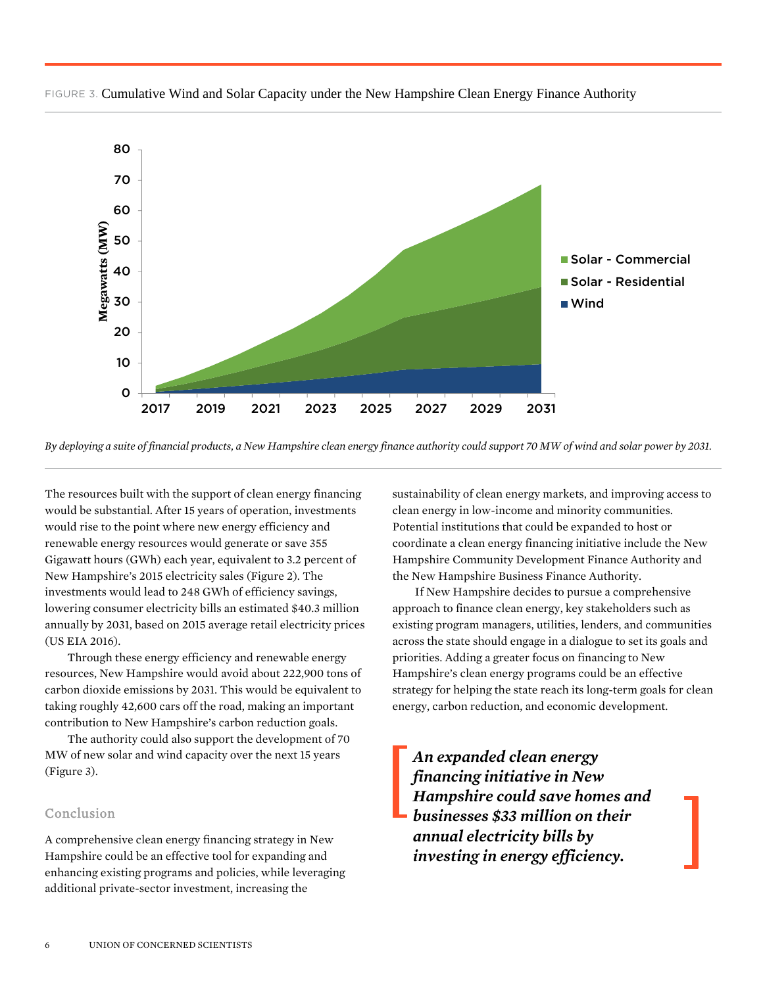

FIGURE 3. Cumulative Wind and Solar Capacity under the New Hampshire Clean Energy Finance Authority

*By deploying a suite of financial products, a New Hampshire clean energy finance authority could support 70 MW of wind and solar power by 2031.*

The resources built with the support of clean energy financing would be substantial. After 15 years of operation, investments would rise to the point where new energy efficiency and renewable energy resources would generate or save 355 Gigawatt hours (GWh) each year, equivalent to 3.2 percent of New Hampshire's 2015 electricity sales (Figure 2). The investments would lead to 248 GWh of efficiency savings, lowering consumer electricity bills an estimated \$40.3 million annually by 2031, based on 2015 average retail electricity prices (US EIA 2016).

Through these energy efficiency and renewable energy resources, New Hampshire would avoid about 222,900 tons of carbon dioxide emissions by 2031. This would be equivalent to taking roughly 42,600 cars off the road, making an important contribution to New Hampshire's carbon reduction goals.

 The authority could also support the development of 70 MW of new solar and wind capacity over the next 15 years (Figure 3).

#### Conclusion

A comprehensive clean energy financing strategy in New Hampshire could be an effective tool for expanding and enhancing existing programs and policies, while leveraging additional private-sector investment, increasing the

sustainability of clean energy markets, and improving access to clean energy in low-income and minority communities. Potential institutions that could be expanded to host or coordinate a clean energy financing initiative include the New Hampshire Community Development Finance Authority and the New Hampshire Business Finance Authority.

If New Hampshire decides to pursue a comprehensive approach to finance clean energy, key stakeholders such as existing program managers, utilities, lenders, and communities across the state should engage in a dialogue to set its goals and priorities. Adding a greater focus on financing to New Hampshire's clean energy programs could be an effective strategy for helping the state reach its long-term goals for clean energy, carbon reduction, and economic development.

*An expanded clean energy financing initiative in New Hampshire could save homes and businesses \$33 million on their annual electricity bills by investing in energy efficiency.*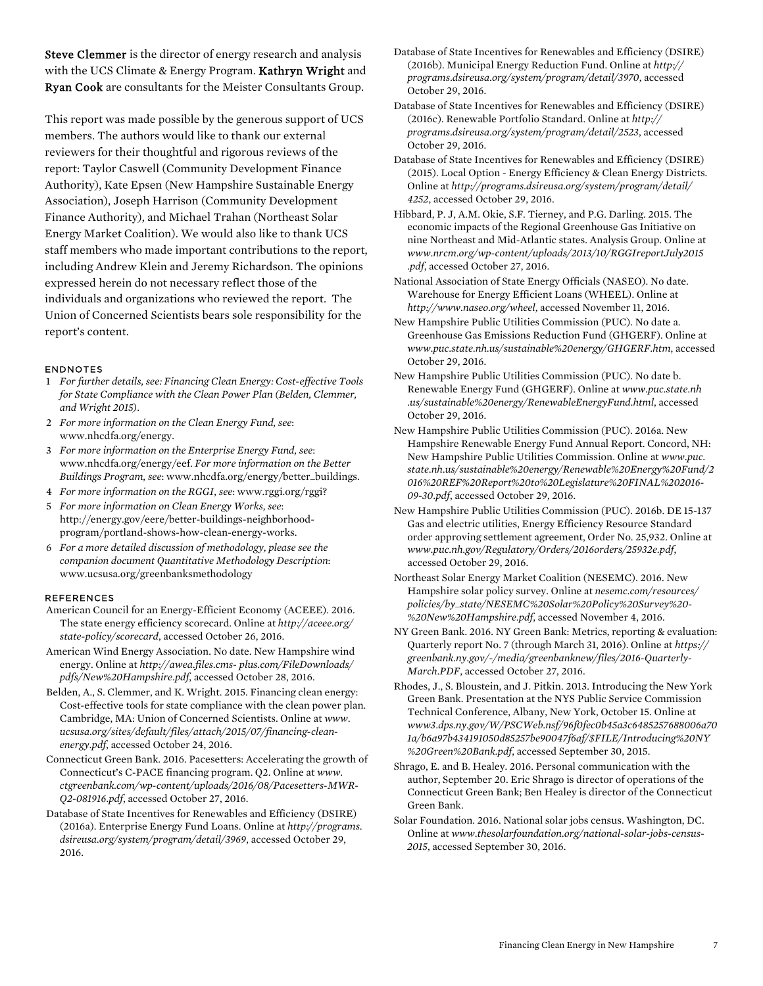Steve Clemmer is the director of energy research and analysis with the UCS Climate & Energy Program. **Kathryn Wright** and Ryan Cook are consultants for the Meister Consultants Group.

This report was made possible by the generous support of UCS members. The authors would like to thank our external reviewers for their thoughtful and rigorous reviews of the report: Taylor Caswell (Community Development Finance Authority), Kate Epsen (New Hampshire Sustainable Energy Association), Joseph Harrison (Community Development Finance Authority), and Michael Trahan (Northeast Solar Energy Market Coalition). We would also like to thank UCS staff members who made important contributions to the report, including Andrew Klein and Jeremy Richardson. The opinions expressed herein do not necessary reflect those of the individuals and organizations who reviewed the report. The Union of Concerned Scientists bears sole responsibility for the report's content.

#### ENDNOTES

- 1 *For further details, see: Financing Clean Energy: Cost-effective Tools for State Compliance with the Clean Power Plan (Belden, Clemmer, and Wright 2015).*
- 2 *For more information on the Clean Energy Fund, see*: www.nhcdfa.org/energy.
- 3 *For more information on the Enterprise Energy Fund, see*: www.nhcdfa.org/energy/eef. *For more information on the Better Buildings Program, see*: www.nhcdfa.org/energy/better\_buildings.
- 4 *For more information on the RGGI, see*: www.rggi.org/rggi?
- 5 *For more information on Clean Energy Works, see*: http://energy.gov/eere/better-buildings-neighborhoodprogram/portland-shows-how-clean-energy-works.
- 6 *For a more detailed discussion of methodology, please see the companion document Quantitative Methodology Description*: www.ucsusa.org/greenbanksmethodology

#### **REFERENCES**

- American Council for an Energy-Efficient Economy (ACEEE). 2016. The state energy efficiency scorecard. Online at *http://aceee.org/ state-policy/scorecard*, accessed October 26, 2016.
- American Wind Energy Association. No date. New Hampshire wind energy. Online at *http://awea.files.cms- plus.com/FileDownloads/ pdfs/New%20Hampshire.pdf*, accessed October 28, 2016.
- Belden, A., S. Clemmer, and K. Wright. 2015. Financing clean energy: Cost-effective tools for state compliance with the clean power plan. Cambridge, MA: Union of Concerned Scientists. Online at *www. ucsusa.org/sites/default/files/attach/2015/07/financing-cleanenergy.pdf*, accessed October 24, 2016.
- Connecticut Green Bank. 2016. Pacesetters: Accelerating the growth of Connecticut's C-PACE financing program. Q2. Online at *www. ctgreenbank.com/wp-content/uploads/2016/08/Pacesetters-MWR-Q2-081916.pdf*, accessed October 27, 2016.
- Database of State Incentives for Renewables and Efficiency (DSIRE) (2016a). Enterprise Energy Fund Loans. Online at *http://programs. dsireusa.org/system/program/detail/3969*, accessed October 29, 2016.
- Database of State Incentives for Renewables and Efficiency (DSIRE) (2016b). Municipal Energy Reduction Fund. Online at *http:// programs.dsireusa.org/system/program/detail/3970*, accessed October 29, 2016.
- Database of State Incentives for Renewables and Efficiency (DSIRE) (2016c). Renewable Portfolio Standard. Online at *http:// programs.dsireusa.org/system/program/detail/2523*, accessed October 29, 2016.
- Database of State Incentives for Renewables and Efficiency (DSIRE) (2015). Local Option - Energy Efficiency & Clean Energy Districts. Online at *http://programs.dsireusa.org/system/program/detail/ 4252*, accessed October 29, 2016.

Hibbard, P. J, A.M. Okie, S.F. Tierney, and P.G. Darling. 2015. The economic impacts of the Regional Greenhouse Gas Initiative on nine Northeast and Mid-Atlantic states. Analysis Group. Online at *www.nrcm.org/wp-content/uploads/2013/10/RGGIreportJuly2015 .pdf*, accessed October 27, 2016.

National Association of State Energy Officials (NASEO). No date. Warehouse for Energy Efficient Loans (WHEEL). Online at *http://www.naseo.org/wheel*, accessed November 11, 2016.

- New Hampshire Public Utilities Commission (PUC). No date a. Greenhouse Gas Emissions Reduction Fund (GHGERF). Online at *www.puc.state.nh.us/sustainable%20energy/GHGERF.htm*, accessed October 29, 2016.
- New Hampshire Public Utilities Commission (PUC). No date b. Renewable Energy Fund (GHGERF). Online at *www.puc.state.nh .us/sustainable%20energy/RenewableEnergyFund.html*, accessed October 29, 2016.
- New Hampshire Public Utilities Commission (PUC). 2016a. New Hampshire Renewable Energy Fund Annual Report. Concord, NH: New Hampshire Public Utilities Commission. Online at *www.puc. state.nh.us/sustainable%20energy/Renewable%20Energy%20Fund/2 016%20REF%20Report%20to%20Legislature%20FINAL%202016- 09-30.pdf*, accessed October 29, 2016.
- New Hampshire Public Utilities Commission (PUC). 2016b. DE 15-137 Gas and electric utilities, Energy Efficiency Resource Standard order approving settlement agreement, Order No. 25,932. Online at *www.puc.nh.gov/Regulatory/Orders/2016orders/25932e.pdf*, accessed October 29, 2016.
- Northeast Solar Energy Market Coalition (NESEMC). 2016. New Hampshire solar policy survey. Online at *nesemc.com/resources/ policies/by\_state/NESEMC%20Solar%20Policy%20Survey%20- %20New%20Hampshire.pdf*, accessed November 4, 2016.
- NY Green Bank. 2016. NY Green Bank: Metrics, reporting & evaluation: Quarterly report No. 7 (through March 31, 2016). Online at *https:// greenbank.ny.gov/-/media/greenbanknew/files/2016-Quarterly-March.PDF*, accessed October 27, 2016.
- Rhodes, J., S. Bloustein, and J. Pitkin. 2013. Introducing the New York Green Bank. Presentation at the NYS Public Service Commission Technical Conference, Albany, New York, October 15. Online at *www3.dps.ny.gov/W/PSCWeb.nsf/96f0fec0b45a3c6485257688006a70 1a/b6a97b434191050d85257be90047f6af/\$FILE/Introducing%20NY %20Green%20Bank.pdf*, accessed September 30, 2015.
- Shrago, E. and B. Healey. 2016. Personal communication with the author, September 20. Eric Shrago is director of operations of the Connecticut Green Bank; Ben Healey is director of the Connecticut Green Bank.
- Solar Foundation. 2016. National solar jobs census. Washington, DC. Online at *www.thesolarfoundation.org/national-solar-jobs-census-2015*, accessed September 30, 2016.